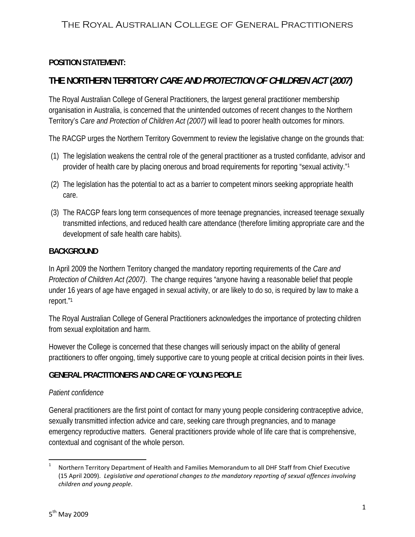### **POSITION STATEMENT:**

# **THE NORTHERN TERRITORY** *CARE AND PROTECTION OF CHILDREN ACT* **(***2007)*

The Royal Australian College of General Practitioners, the largest general practitioner membership organisation in Australia, is concerned that the unintended outcomes of recent changes to the Northern Territory's *Care and Protection of Children Act (2007)* will lead to poorer health outcomes for minors.

The RACGP urges the Northern Territory Government to review the legislative change on the grounds that:

- (1) The legislation weakens the central role of the general practitioner as a trusted confidante, advisor and provider of health care by placing onerous and broad requirements for reporting "sexual activity."1
- (2) The legislation has the potential to act as a barrier to competent minors seeking appropriate health care.
- (3) The RACGP fears long term consequences of more teenage pregnancies, increased teenage sexually transmitted infections, and reduced health care attendance (therefore limiting appropriate care and the development of safe health care habits).

### **BACKGROUND**

In April 2009 the Northern Territory changed the mandatory reporting requirements of the *Care and Protection of Children Act (2007)*. The change requires "anyone having a reasonable belief that people under 16 years of age have engaged in sexual activity, or are likely to do so, is required by law to make a report."1

The Royal Australian College of General Practitioners acknowledges the importance of protecting children from sexual exploitation and harm.

However the College is concerned that these changes will seriously impact on the ability of general practitioners to offer ongoing, timely supportive care to young people at critical decision points in their lives.

## **GENERAL PRACTITIONERS AND CARE OF YOUNG PEOPLE**

#### *Patient confidence*

General practitioners are the first point of contact for many young people considering contraceptive advice, sexually transmitted infection advice and care, seeking care through pregnancies, and to manage emergency reproductive matters. General practitioners provide whole of life care that is comprehensive, contextual and cognisant of the whole person.

 <sup>1</sup> Northern Territory Department of Health and Families Memorandum to all DHF Staff from Chief Executive (15 April 2009). *Legislative and operational changes to the mandatory reporting of sexual offences involving children and young people*.